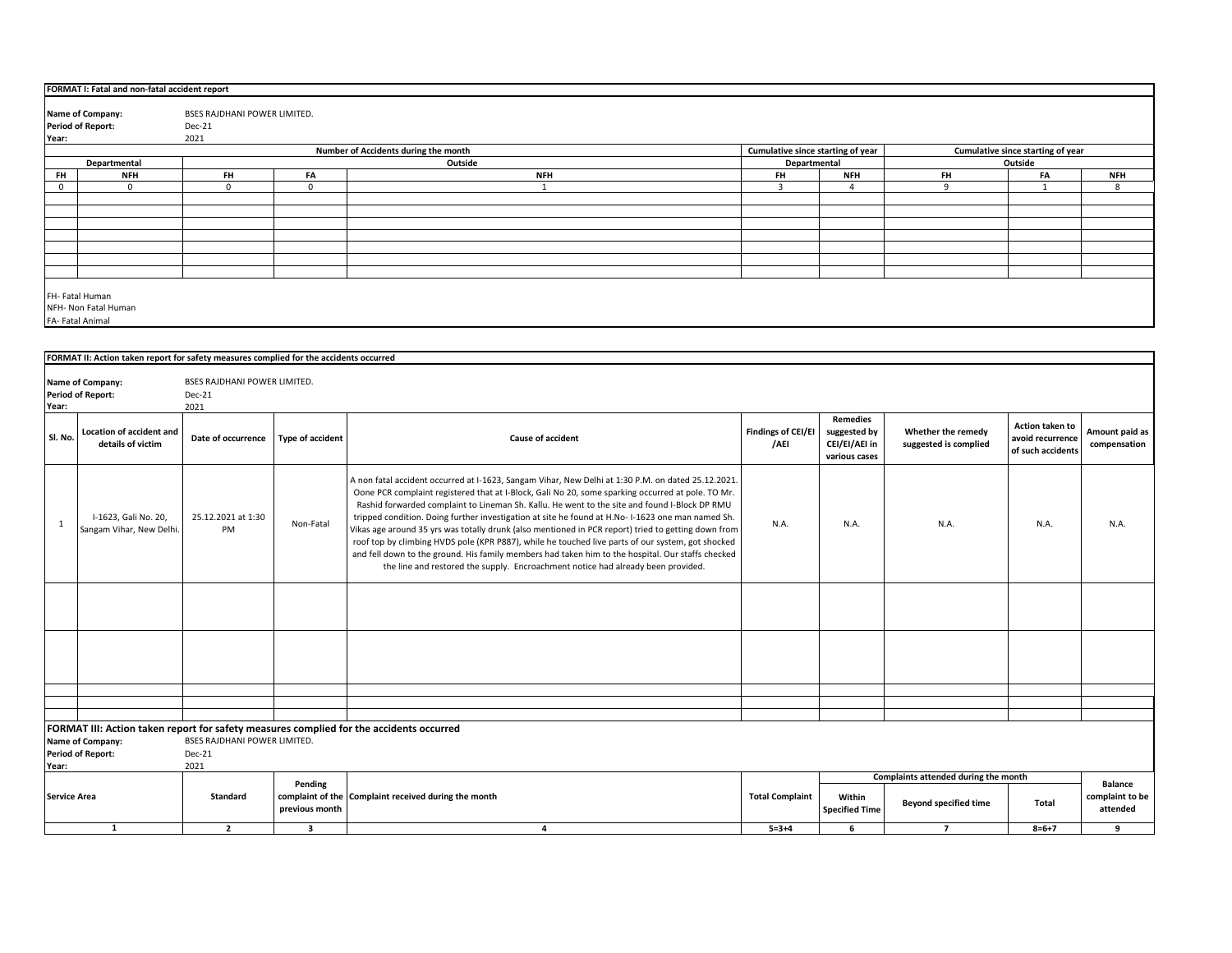|             | FORMAT I: Fatal and non-fatal accident report              |                                                                                        |             |                                      |                                                                        |                |                       |              |            |
|-------------|------------------------------------------------------------|----------------------------------------------------------------------------------------|-------------|--------------------------------------|------------------------------------------------------------------------|----------------|-----------------------|--------------|------------|
|             | Name of Company:                                           | BSES RAJDHANI POWER LIMITED.                                                           |             |                                      |                                                                        |                |                       |              |            |
|             | <b>Period of Report:</b>                                   | Dec-21                                                                                 |             |                                      |                                                                        |                |                       |              |            |
| Year:       |                                                            | 2021                                                                                   |             |                                      |                                                                        |                |                       |              |            |
|             |                                                            |                                                                                        |             | Number of Accidents during the month | Cumulative since starting of year<br>Cumulative since starting of year |                |                       |              |            |
|             |                                                            |                                                                                        | Outside     | Departmental                         |                                                                        |                | Outside               |              |            |
| <b>FH</b>   | Departmental<br><b>NFH</b>                                 | <b>FH</b>                                                                              |             | <b>NFH</b>                           |                                                                        | <b>NFH</b>     |                       | FA           | <b>NFH</b> |
|             |                                                            |                                                                                        | FA          |                                      | <b>FH</b>                                                              |                | <b>FH</b><br>$\Omega$ | $\mathbf{A}$ |            |
| $\mathbf 0$ | $\mathbf{0}$                                               | 0                                                                                      | $\mathbf 0$ |                                      | 3                                                                      | $\overline{4}$ |                       |              | 8          |
|             |                                                            |                                                                                        |             |                                      |                                                                        |                |                       |              |            |
|             |                                                            |                                                                                        |             |                                      |                                                                        |                |                       |              |            |
|             |                                                            |                                                                                        |             |                                      |                                                                        |                |                       |              |            |
|             |                                                            |                                                                                        |             |                                      |                                                                        |                |                       |              |            |
|             |                                                            |                                                                                        |             |                                      |                                                                        |                |                       |              |            |
|             |                                                            |                                                                                        |             |                                      |                                                                        |                |                       |              |            |
|             |                                                            |                                                                                        |             |                                      |                                                                        |                |                       |              |            |
|             | FH- Fatal Human<br>NFH- Non Fatal Human<br>FA-Fatal Animal |                                                                                        |             |                                      |                                                                        |                |                       |              |            |
|             |                                                            |                                                                                        |             |                                      |                                                                        |                |                       |              |            |
|             |                                                            | FORMAT II: Action taken report for safety measures complied for the accidents occurred |             |                                      |                                                                        |                |                       |              |            |

| Year:               | <b>Name of Company:</b><br><b>Period of Report:</b>                                                                                                                                              | <b>BSES RAJDHANI POWER LIMITED.</b><br>Dec-21<br>2021 |                         |                                                                                                                                                                                                                                                                                                                                                                                                                                                                                                                                                                                                                                                                                                                                                                                                                   |                            |                                                                   |                                             |                                                          |                                |
|---------------------|--------------------------------------------------------------------------------------------------------------------------------------------------------------------------------------------------|-------------------------------------------------------|-------------------------|-------------------------------------------------------------------------------------------------------------------------------------------------------------------------------------------------------------------------------------------------------------------------------------------------------------------------------------------------------------------------------------------------------------------------------------------------------------------------------------------------------------------------------------------------------------------------------------------------------------------------------------------------------------------------------------------------------------------------------------------------------------------------------------------------------------------|----------------------------|-------------------------------------------------------------------|---------------------------------------------|----------------------------------------------------------|--------------------------------|
| Sl. No.             | Location of accident and<br>details of victim                                                                                                                                                    | Date of occurrence                                    | <b>Type of accident</b> | <b>Cause of accident</b>                                                                                                                                                                                                                                                                                                                                                                                                                                                                                                                                                                                                                                                                                                                                                                                          | Findings of CEI/EI<br>/AEI | <b>Remedies</b><br>suggested by<br>CEI/EI/AEI in<br>various cases | Whether the remedy<br>suggested is complied | Action taken to<br>avoid recurrence<br>of such accidents | Amount paid as<br>compensation |
| $\mathbf{1}$        | I-1623, Gali No. 20,<br>Sangam Vihar, New Delhi.                                                                                                                                                 | 25.12.2021 at 1:30<br>PM                              | Non-Fatal               | A non fatal accident occurred at I-1623, Sangam Vihar, New Delhi at 1:30 P.M. on dated 25.12.2021.<br>Oone PCR complaint registered that at I-Block, Gali No 20, some sparking occurred at pole. TO Mr.<br>Rashid forwarded complaint to Lineman Sh. Kallu. He went to the site and found I-Block DP RMU<br>tripped condition. Doing further investigation at site he found at H.No-1-1623 one man named Sh.<br>Vikas age around 35 yrs was totally drunk (also mentioned in PCR report) tried to getting down from<br>roof top by climbing HVDS pole (KPR P887), while he touched live parts of our system, got shocked<br>and fell down to the ground. His family members had taken him to the hospital. Our staffs checked<br>the line and restored the supply. Encroachment notice had already been provided. | N.A.                       | N.A.                                                              | N.A.                                        | N.A.                                                     | N.A.                           |
|                     |                                                                                                                                                                                                  |                                                       |                         |                                                                                                                                                                                                                                                                                                                                                                                                                                                                                                                                                                                                                                                                                                                                                                                                                   |                            |                                                                   |                                             |                                                          |                                |
|                     |                                                                                                                                                                                                  |                                                       |                         |                                                                                                                                                                                                                                                                                                                                                                                                                                                                                                                                                                                                                                                                                                                                                                                                                   |                            |                                                                   |                                             |                                                          |                                |
|                     |                                                                                                                                                                                                  |                                                       |                         |                                                                                                                                                                                                                                                                                                                                                                                                                                                                                                                                                                                                                                                                                                                                                                                                                   |                            |                                                                   |                                             |                                                          |                                |
|                     |                                                                                                                                                                                                  |                                                       |                         |                                                                                                                                                                                                                                                                                                                                                                                                                                                                                                                                                                                                                                                                                                                                                                                                                   |                            |                                                                   |                                             |                                                          |                                |
| Year:               | FORMAT III: Action taken report for safety measures complied for the accidents occurred<br><b>BSES RAJDHANI POWER LIMITED.</b><br>Name of Company:<br><b>Period of Report:</b><br>Dec-21<br>2021 |                                                       |                         |                                                                                                                                                                                                                                                                                                                                                                                                                                                                                                                                                                                                                                                                                                                                                                                                                   |                            |                                                                   |                                             |                                                          |                                |
|                     |                                                                                                                                                                                                  |                                                       | Pending                 |                                                                                                                                                                                                                                                                                                                                                                                                                                                                                                                                                                                                                                                                                                                                                                                                                   |                            |                                                                   | Complaints attended during the month        |                                                          | <b>Balance</b>                 |
| <b>Service Area</b> |                                                                                                                                                                                                  | <b>Standard</b>                                       | previous month          | complaint of the Complaint received during the month                                                                                                                                                                                                                                                                                                                                                                                                                                                                                                                                                                                                                                                                                                                                                              | <b>Total Complaint</b>     | Within<br><b>Specified Time</b>                                   | <b>Beyond specified time</b>                | Total                                                    | complaint to be<br>attended    |
|                     | <sup>1</sup>                                                                                                                                                                                     | $\overline{2}$                                        | $\overline{\mathbf{3}}$ | 4                                                                                                                                                                                                                                                                                                                                                                                                                                                                                                                                                                                                                                                                                                                                                                                                                 | $5 = 3 + 4$                | 6                                                                 | $\overline{7}$                              | $8 = 6 + 7$                                              | 9                              |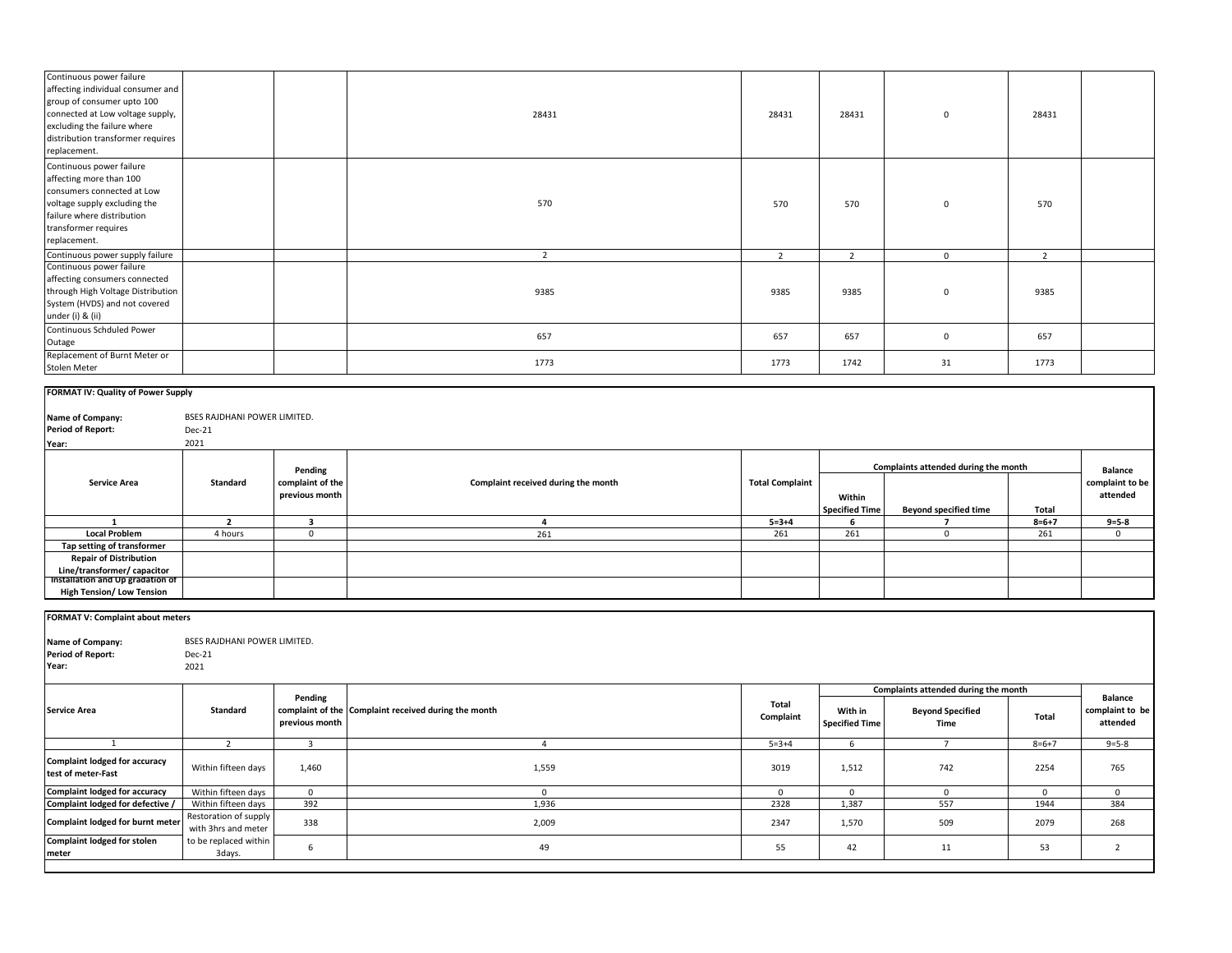| Continuous power failure<br>affecting individual consumer and<br>group of consumer upto 100<br>connected at Low voltage supply,<br>excluding the failure where<br>distribution transformer requires<br>replacement. |                                                |                                               | 28431                                                | 28431                  | 28431                            | $\mathbf 0$                                                             | 28431              |                                               |
|---------------------------------------------------------------------------------------------------------------------------------------------------------------------------------------------------------------------|------------------------------------------------|-----------------------------------------------|------------------------------------------------------|------------------------|----------------------------------|-------------------------------------------------------------------------|--------------------|-----------------------------------------------|
| Continuous power failure<br>affecting more than 100<br>consumers connected at Low<br>voltage supply excluding the<br>failure where distribution<br>transformer requires<br>replacement.                             |                                                |                                               | 570                                                  | 570                    | 570                              | $\mathbf 0$                                                             | 570                |                                               |
| Continuous power supply failure                                                                                                                                                                                     |                                                |                                               | $\overline{2}$                                       | $\overline{2}$         | $\overline{2}$                   | $\overline{0}$                                                          | $\overline{2}$     |                                               |
| Continuous power failure<br>affecting consumers connected<br>through High Voltage Distribution<br>System (HVDS) and not covered<br>under (i) & (ii)                                                                 |                                                |                                               | 9385                                                 | 9385                   | 9385                             | $\mathbf 0$                                                             | 9385               |                                               |
| Continuous Schduled Power<br>Outage                                                                                                                                                                                 |                                                |                                               | 657                                                  | 657                    | 657                              | $\mathbf 0$                                                             | 657                |                                               |
| Replacement of Burnt Meter or<br>Stolen Meter                                                                                                                                                                       |                                                |                                               | 1773                                                 | 1773                   | 1742                             | 31                                                                      | 1773               |                                               |
| FORMAT IV: Quality of Power Supply                                                                                                                                                                                  |                                                |                                               |                                                      |                        |                                  |                                                                         |                    |                                               |
| Name of Company:<br><b>Period of Report:</b><br>Year:                                                                                                                                                               | BSES RAJDHANI POWER LIMITED.<br>Dec-21<br>2021 |                                               |                                                      |                        |                                  |                                                                         |                    |                                               |
| <b>Service Area</b>                                                                                                                                                                                                 | Standard                                       | Pending<br>complaint of the<br>previous month | Complaint received during the month                  | <b>Total Complaint</b> | Within                           | Complaints attended during the month                                    |                    | <b>Balance</b><br>complaint to be<br>attended |
|                                                                                                                                                                                                                     |                                                |                                               |                                                      |                        | <b>Specified Time</b>            | <b>Beyond specified time</b>                                            | Total              |                                               |
| 1<br><b>Local Problem</b>                                                                                                                                                                                           | $\overline{2}$<br>4 hours                      | 3<br>$\overline{0}$                           | 4<br>261                                             | $5 = 3 + 4$<br>261     | 6<br>261                         | $\overline{z}$<br>$\mathbf 0$                                           | $8 = 6 + 7$<br>261 | $9 = 5 - 8$<br>$\mathbf{0}$                   |
| Tap setting of transformer<br><b>Repair of Distribution</b><br>Line/transformer/ capacitor<br>Installation and Up gradation of<br><b>High Tension/ Low Tension</b>                                                  |                                                |                                               |                                                      |                        |                                  |                                                                         |                    |                                               |
| FORMAT V: Complaint about meters<br>Name of Company:<br><b>Period of Report:</b><br>Year:                                                                                                                           | BSES RAJDHANI POWER LIMITED.<br>Dec-21<br>2021 |                                               |                                                      |                        |                                  |                                                                         |                    |                                               |
|                                                                                                                                                                                                                     |                                                |                                               |                                                      |                        |                                  |                                                                         |                    |                                               |
| <b>Service Area</b>                                                                                                                                                                                                 | Standard                                       | Pending<br>previous month                     | complaint of the Complaint received during the month | Total<br>Complaint     | With in<br><b>Specified Time</b> | Complaints attended during the month<br><b>Beyond Specified</b><br>Time | Total              | <b>Balance</b><br>complaint to be<br>attended |
| $\overline{1}$                                                                                                                                                                                                      | $\overline{2}$                                 |                                               | $\overline{4}$                                       | $5 = 3 + 4$            | 6                                | $\overline{7}$                                                          | $8=6+7$            | $9 = 5 - 8$                                   |
| <b>Complaint lodged for accuracy</b><br>test of meter-Fast                                                                                                                                                          | Within fifteen days                            | 1,460                                         | 1,559                                                | 3019                   | 1,512                            | 742                                                                     | 2254               | 765                                           |
| <b>Complaint lodged for accuracy</b>                                                                                                                                                                                | Within fifteen days                            | $\mathbf 0$                                   | $\mathbf{0}$                                         | $\mathbf{0}$           | $\mathbf{0}$                     | $\mathbf{0}$                                                            | $\overline{0}$     | $\mathbf{0}$                                  |
| Complaint lodged for defective /                                                                                                                                                                                    | Within fifteen days                            | 392                                           | 1,936                                                | 2328                   | 1,387                            | 557                                                                     | 1944               | 384                                           |
| Complaint lodged for burnt meter                                                                                                                                                                                    | Restoration of supply<br>with 3hrs and meter   | 338                                           | 2,009                                                | 2347                   | 1,570                            | 509                                                                     | 2079               | 268                                           |
| <b>Complaint lodged for stolen</b><br>meter                                                                                                                                                                         | to be replaced within<br>3days.                | 6                                             | 49                                                   | 55                     | 42                               | 11                                                                      | 53                 | $\overline{2}$                                |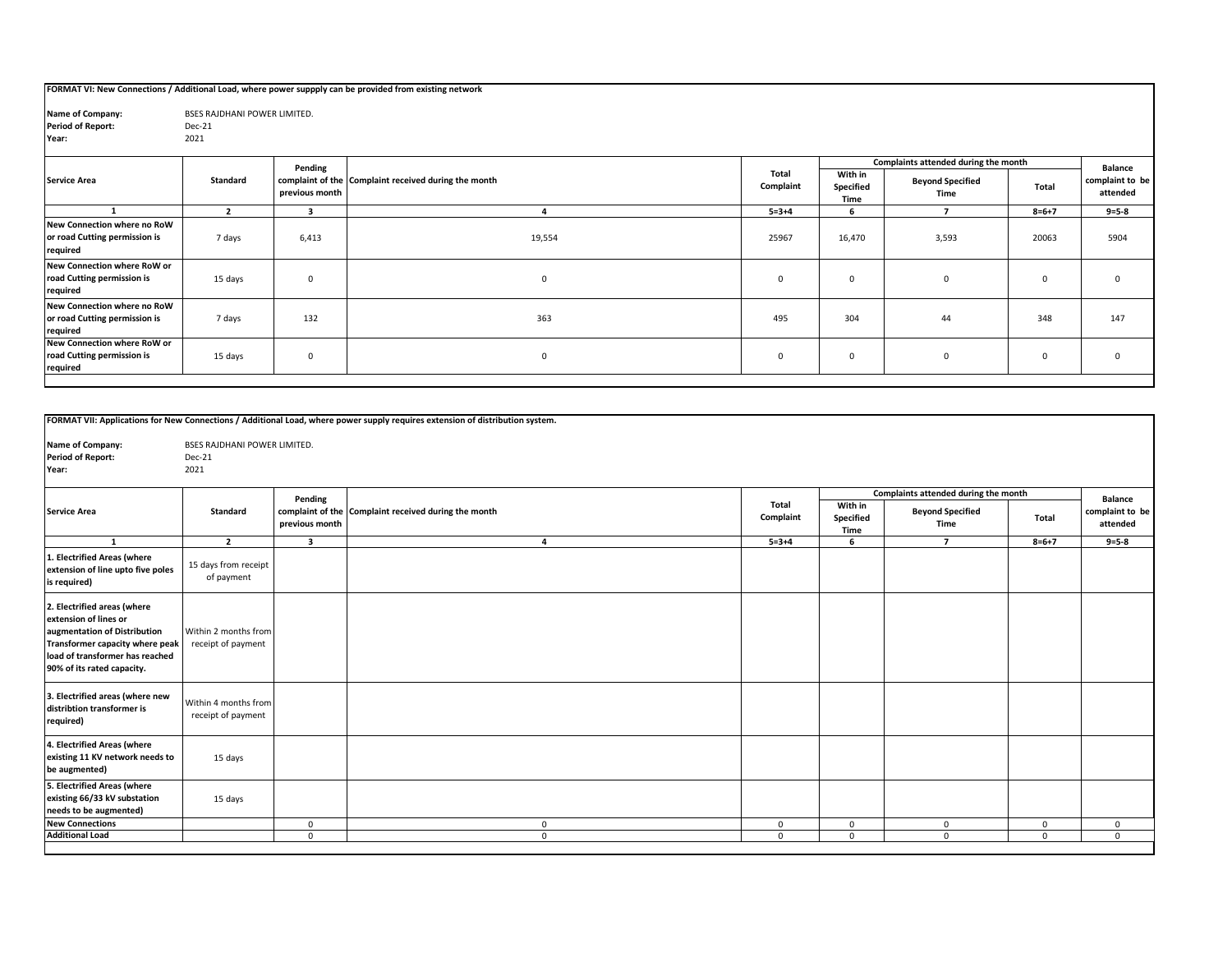## **FORMAT VI: New Connections / Additional Load, where power suppply can be provided from existing network**

| Name of Company:         | <b>BSES RAJDHANI POWER LIMITED.</b> |
|--------------------------|-------------------------------------|
| <b>Period of Report:</b> | Dec-21                              |
| Year:                    | 2021                                |

|                                                                          |          | Pending        | complaint of the Complaint received during the month | Total<br>Complaint | Complaints attended during the month |                                 |             | Balance                     |
|--------------------------------------------------------------------------|----------|----------------|------------------------------------------------------|--------------------|--------------------------------------|---------------------------------|-------------|-----------------------------|
| <b>Service Area</b>                                                      | Standard | previous month |                                                      |                    | With in<br>Specified<br>Time         | <b>Beyond Specified</b><br>Time | Total       | complaint to be<br>attended |
|                                                                          |          |                |                                                      | $5 = 3 + 4$        |                                      |                                 | $8 = 6 + 7$ | $9 = 5 - 8$                 |
| New Connection where no RoW<br>or road Cutting permission is<br>required | 7 days   | 6,413          | 19,554                                               | 25967              | 16,470                               | 3,593                           | 20063       | 5904                        |
| New Connection where RoW or<br>road Cutting permission is<br>required    | 15 days  | $\Omega$       | $\mathbf{0}$                                         | $\mathbf{0}$       | $\mathbf 0$                          | $\mathbf{0}$                    | $\Omega$    |                             |
| New Connection where no RoW<br>or road Cutting permission is<br>required | 7 days   | 132            | 363                                                  | 495                | 304                                  | 44                              | 348         | 147                         |
| New Connection where RoW or<br>road Cutting permission is<br>required    | 15 days  | $\mathbf 0$    | $\mathbf 0$                                          | $\mathbf{0}$       | $\mathbf 0$                          | $\mathbf{0}$                    | $\Omega$    | $\Omega$                    |

|                                                                                                                                                                                          |                                            |                         | FORMAT VII: Applications for New Connections / Additional Load, where power supply requires extension of distribution system. |                    |                              |                                      |              |                             |
|------------------------------------------------------------------------------------------------------------------------------------------------------------------------------------------|--------------------------------------------|-------------------------|-------------------------------------------------------------------------------------------------------------------------------|--------------------|------------------------------|--------------------------------------|--------------|-----------------------------|
| Name of Company:                                                                                                                                                                         | <b>BSES RAJDHANI POWER LIMITED.</b>        |                         |                                                                                                                               |                    |                              |                                      |              |                             |
| <b>Period of Report:</b>                                                                                                                                                                 | Dec-21                                     |                         |                                                                                                                               |                    |                              |                                      |              |                             |
| Year:                                                                                                                                                                                    | 2021                                       |                         |                                                                                                                               |                    |                              |                                      |              |                             |
|                                                                                                                                                                                          |                                            |                         |                                                                                                                               |                    |                              |                                      |              |                             |
|                                                                                                                                                                                          |                                            | Pending                 |                                                                                                                               |                    |                              | Complaints attended during the month |              | <b>Balance</b>              |
| <b>Service Area</b>                                                                                                                                                                      | <b>Standard</b>                            | previous month          | complaint of the Complaint received during the month                                                                          | Total<br>Complaint | With in<br>Specified<br>Time | <b>Beyond Specified</b><br>Time      | Total        | complaint to be<br>attended |
| 1                                                                                                                                                                                        | $\overline{2}$                             | $\overline{\mathbf{3}}$ | 4                                                                                                                             | $5 = 3 + 4$        | 6                            | $\overline{7}$                       | $8 = 6 + 7$  | $9 = 5 - 8$                 |
| 1. Electrified Areas (where<br>extension of line upto five poles<br>is required)                                                                                                         | 15 days from receipt<br>of payment         |                         |                                                                                                                               |                    |                              |                                      |              |                             |
| 2. Electrified areas (where<br>extension of lines or<br>augmentation of Distribution<br>Transformer capacity where peak<br>load of transformer has reached<br>90% of its rated capacity. | Within 2 months from<br>receipt of payment |                         |                                                                                                                               |                    |                              |                                      |              |                             |
| 3. Electrified areas (where new<br>distribtion transformer is<br>required)                                                                                                               | Within 4 months from<br>receipt of payment |                         |                                                                                                                               |                    |                              |                                      |              |                             |
| 4. Electrified Areas (where<br>existing 11 KV network needs to<br>be augmented)                                                                                                          | 15 days                                    |                         |                                                                                                                               |                    |                              |                                      |              |                             |
| 5. Electrified Areas (where<br>existing 66/33 kV substation<br>needs to be augmented)                                                                                                    | 15 days                                    |                         |                                                                                                                               |                    |                              |                                      |              |                             |
| <b>New Connections</b>                                                                                                                                                                   |                                            | $\mathbf{0}$            | $\mathbf{0}$                                                                                                                  | $\mathbf{0}$       | $\mathbf 0$                  | $\mathbf{0}$                         | $\mathbf{0}$ | $\mathbf 0$                 |
| <b>Additional Load</b>                                                                                                                                                                   |                                            | $\Omega$                | $\Omega$                                                                                                                      | $\Omega$           | $\Omega$                     | $\Omega$                             | $\Omega$     | $\Omega$                    |
|                                                                                                                                                                                          |                                            |                         |                                                                                                                               |                    |                              |                                      |              |                             |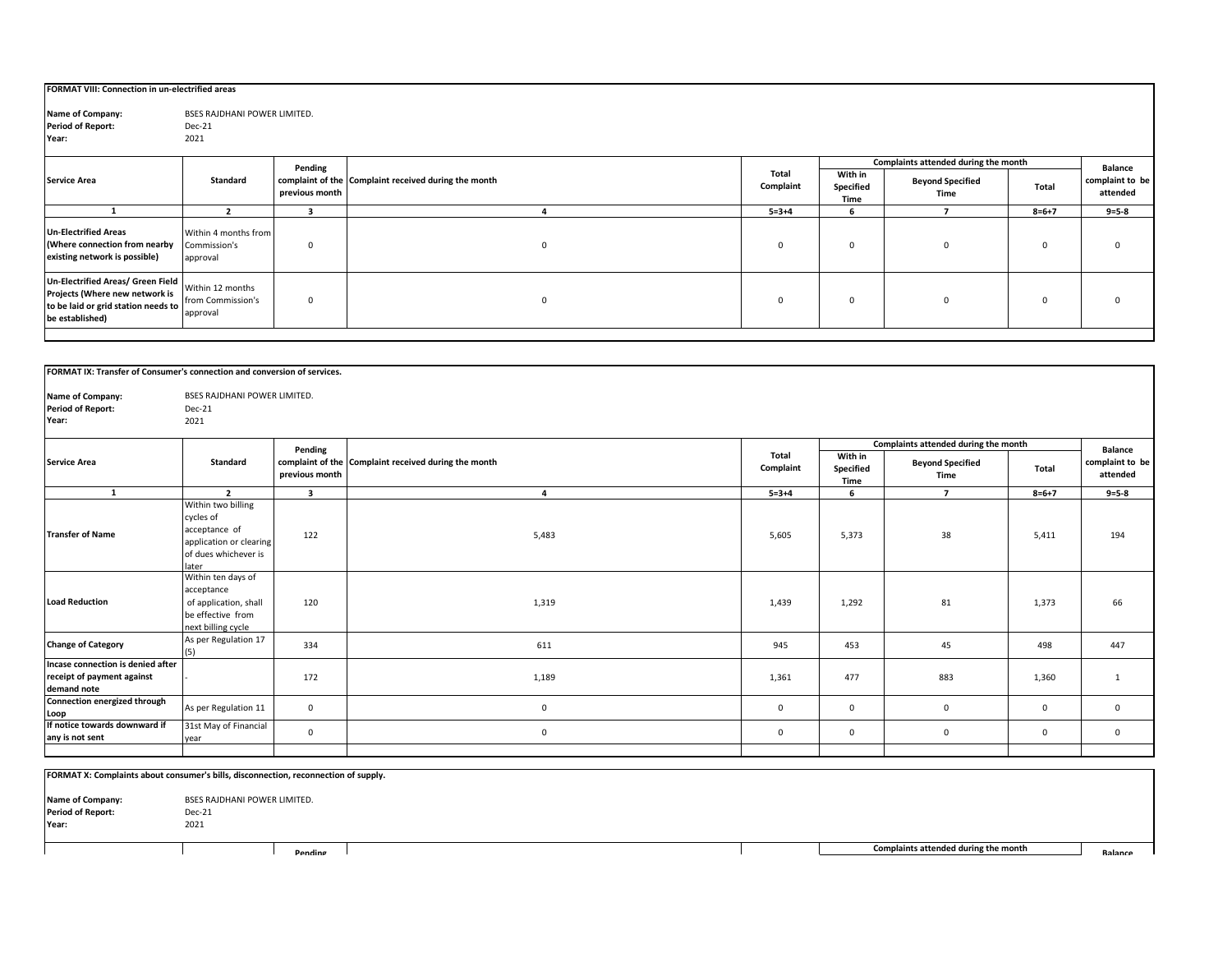| FORMAT VIII: Connection in un-electrified areas                                                                               |                                                   |                |                                                      |                    |                              |                                      |             |                             |
|-------------------------------------------------------------------------------------------------------------------------------|---------------------------------------------------|----------------|------------------------------------------------------|--------------------|------------------------------|--------------------------------------|-------------|-----------------------------|
| Name of Company:<br><b>Period of Report:</b><br>Year:                                                                         | BSES RAJDHANI POWER LIMITED.<br>Dec-21<br>2021    |                |                                                      |                    |                              |                                      |             |                             |
|                                                                                                                               |                                                   | Pending        |                                                      |                    |                              | Complaints attended during the month |             | <b>Balance</b>              |
| <b>Service Area</b>                                                                                                           | Standard                                          | previous month | complaint of the Complaint received during the month | Total<br>Complaint | With in<br>Specified<br>Time | <b>Beyond Specified</b><br>Time      | Total       | complaint to be<br>attended |
|                                                                                                                               |                                                   |                |                                                      | $5 = 3 + 4$        | 6                            |                                      | $8 = 6 + 7$ | $9 = 5 - 8$                 |
| <b>Un-Electrified Areas</b><br>(Where connection from nearby<br>existing network is possible)                                 | Within 4 months from<br>Commission's<br>approval  | 0              | 0                                                    | $\overline{0}$     | 0                            |                                      | 0           |                             |
| Un-Electrified Areas/ Green Field<br>Projects (Where new network is<br>to be laid or grid station needs to<br>be established) | Within 12 months<br>from Commission's<br>approval | 0              | $\mathbf 0$                                          | $\mathbf{0}$       | 0                            | $\Omega$                             | $\mathsf 0$ |                             |

| FORMAT IX: Transfer of Consumer's connection and conversion of services.       |                                                                                                              |                           |                                                      |                    |                              |                                      |             |                                               |
|--------------------------------------------------------------------------------|--------------------------------------------------------------------------------------------------------------|---------------------------|------------------------------------------------------|--------------------|------------------------------|--------------------------------------|-------------|-----------------------------------------------|
| Name of Company:<br><b>Period of Report:</b><br>Year:                          | <b>BSES RAJDHANI POWER LIMITED.</b><br>Dec-21<br>2021                                                        |                           |                                                      |                    |                              |                                      |             |                                               |
|                                                                                |                                                                                                              |                           |                                                      |                    |                              | Complaints attended during the month |             |                                               |
| <b>Service Area</b>                                                            | Standard                                                                                                     | Pending<br>previous month | complaint of the Complaint received during the month | Total<br>Complaint | With in<br>Specified<br>Time | <b>Beyond Specified</b><br>Time      | Total       | <b>Balance</b><br>complaint to be<br>attended |
| $\mathbf{1}$                                                                   | $\overline{2}$                                                                                               | $\overline{\mathbf{3}}$   | $\overline{a}$                                       | $5 = 3 + 4$        | 6                            | $\overline{7}$                       | $8 = 6 + 7$ | $9 = 5 - 8$                                   |
| <b>Transfer of Name</b>                                                        | Within two billing<br>cycles of<br>acceptance of<br>application or clearing<br>of dues whichever is<br>later | 122                       | 5,483                                                | 5,605              | 5,373                        | 38                                   | 5,411       | 194                                           |
| <b>Load Reduction</b>                                                          | Within ten days of<br>acceptance<br>of application, shall<br>be effective from<br>next billing cycle         | 120                       | 1,319                                                | 1,439              | 1,292                        | 81                                   | 1,373       | 66                                            |
| <b>Change of Category</b>                                                      | As per Regulation 17<br>(5)                                                                                  | 334                       | 611                                                  | 945                | 453                          | 45                                   | 498         | 447                                           |
| Incase connection is denied after<br>receipt of payment against<br>demand note |                                                                                                              | 172                       | 1,189                                                | 1,361              | 477                          | 883                                  | 1,360       | $\mathbf{1}$                                  |
| Connection energized through<br>Loop                                           | As per Regulation 11                                                                                         | $\mathbf 0$               | $\mathbf 0$                                          | $\mathbf 0$        | $\mathbf 0$                  | $\mathbf{0}$                         | $\mathbf 0$ | $\mathbf 0$                                   |
| If notice towards downward if<br>any is not sent                               | 31st May of Financial<br>year                                                                                | $\mathsf 0$               | $\mathbf{0}$                                         | $\mathbf 0$        | $\mathbf 0$                  | $\mathbf 0$                          | $\mathbf 0$ | $\mathbf 0$                                   |
|                                                                                |                                                                                                              |                           |                                                      |                    |                              |                                      |             |                                               |

|                                                       | FORMAT X: Complaints about consumer's bills, disconnection, reconnection of supply. |                                                        |  |  |  |  |  |  |  |  |  |  |  |
|-------------------------------------------------------|-------------------------------------------------------------------------------------|--------------------------------------------------------|--|--|--|--|--|--|--|--|--|--|--|
| Name of Company:<br><b>Period of Report:</b><br>Year: | BSES RAJDHANI POWER LIMITED.<br>Dec-21<br>2021                                      |                                                        |  |  |  |  |  |  |  |  |  |  |  |
|                                                       | Pending                                                                             | Complaints attended during the month<br><b>Balance</b> |  |  |  |  |  |  |  |  |  |  |  |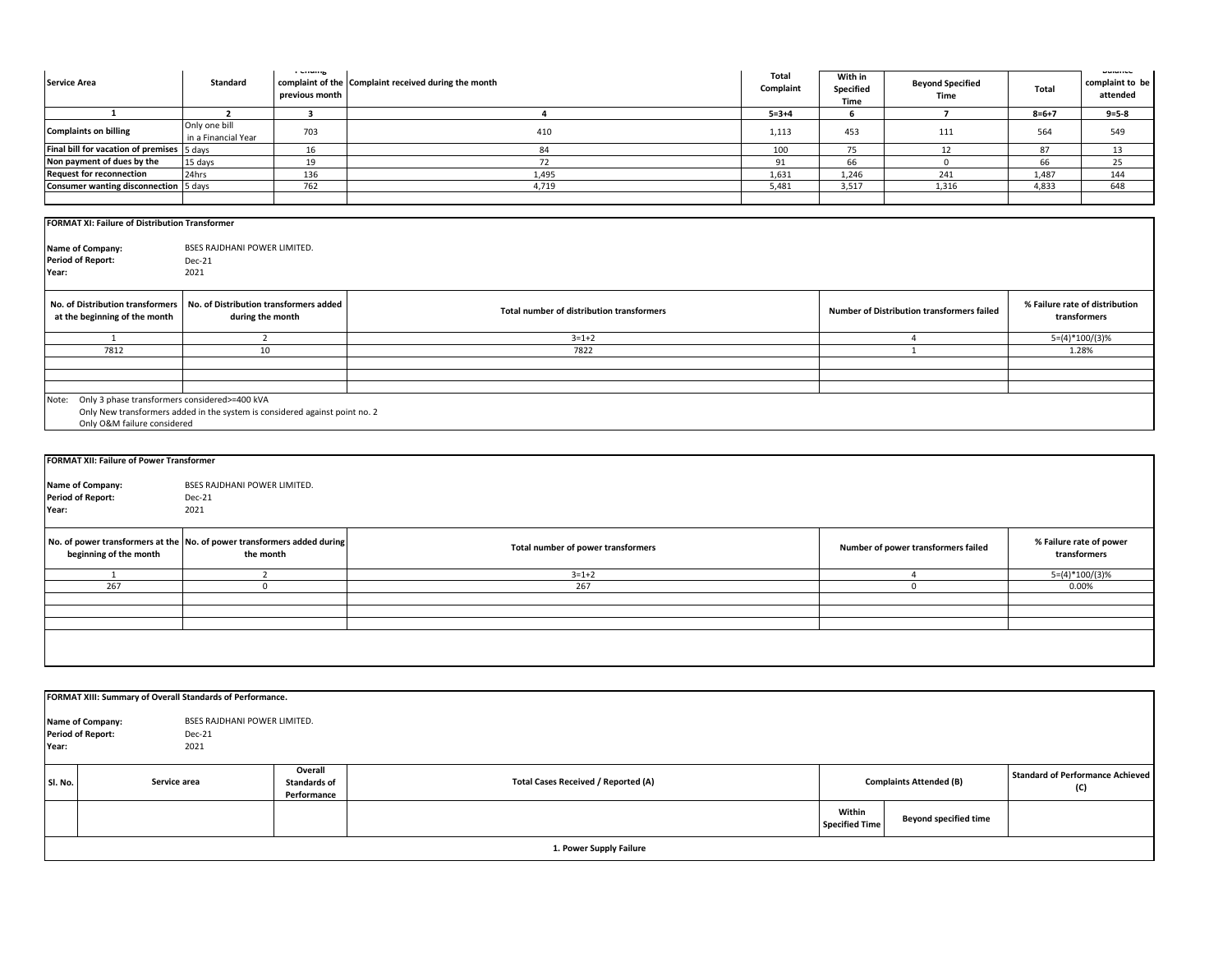| <b>Service Area</b>                                                                                        | Standard                                                   | r chung<br>previous month | complaint of the Complaint received during the month | Total<br>Complaint | With in<br>Specified<br>Time | <b>Beyond Specified</b><br>Time            | Total            | Dalante<br>complaint to be<br>attended         |  |  |
|------------------------------------------------------------------------------------------------------------|------------------------------------------------------------|---------------------------|------------------------------------------------------|--------------------|------------------------------|--------------------------------------------|------------------|------------------------------------------------|--|--|
| $\mathbf{1}$                                                                                               | $\overline{2}$                                             | $\overline{\mathbf{3}}$   | $\overline{4}$                                       | $5 = 3 + 4$        | 6                            | $\overline{7}$                             | $8 = 6 + 7$      | $9 = 5 - 8$                                    |  |  |
| <b>Complaints on billing</b>                                                                               | Only one bill<br>in a Financial Year                       | 703                       | 410                                                  | 1,113              | 453                          | 111                                        | 564              | 549                                            |  |  |
| Final bill for vacation of premises                                                                        | 5 days                                                     | 16                        | 84                                                   | 100                | 75                           | 12                                         | 87               | 13                                             |  |  |
| Non payment of dues by the                                                                                 | 15 days                                                    | 19                        | 72                                                   | 91                 | 66                           | $\mathbf{0}$                               | 66               | 25                                             |  |  |
| <b>Request for reconnection</b>                                                                            | 24hrs                                                      | 136                       | 1,495                                                | 1,631              | 1,246                        | 241                                        | 1,487            | 144                                            |  |  |
| Consumer wanting disconnection                                                                             | 5 days                                                     | 762                       | 4,719                                                | 5,481              | 3,517                        | 1,316                                      | 4,833            | 648                                            |  |  |
| FORMAT XI: Failure of Distribution Transformer                                                             |                                                            |                           |                                                      |                    |                              |                                            |                  |                                                |  |  |
| Name of Company:<br><b>Period of Report:</b><br>Year:                                                      | BSES RAJDHANI POWER LIMITED.<br>Dec-21<br>2021             |                           |                                                      |                    |                              |                                            |                  |                                                |  |  |
| No. of Distribution transformers<br>at the beginning of the month                                          | No. of Distribution transformers added<br>during the month |                           | Total number of distribution transformers            |                    |                              | Number of Distribution transformers failed |                  | % Failure rate of distribution<br>transformers |  |  |
| 1                                                                                                          | $\overline{2}$                                             |                           | $3 = 1 + 2$                                          |                    | $\overline{4}$               |                                            | $5=(4)*100/(3)%$ |                                                |  |  |
| 7812                                                                                                       | 10                                                         |                           | 7822                                                 |                    |                              | $\mathbf{1}$                               |                  | 1.28%                                          |  |  |
|                                                                                                            |                                                            |                           |                                                      |                    |                              |                                            |                  |                                                |  |  |
|                                                                                                            |                                                            |                           |                                                      |                    |                              |                                            |                  |                                                |  |  |
| Note: Only 3 phase transformers considered>=400 kVA                                                        |                                                            |                           |                                                      |                    |                              |                                            |                  |                                                |  |  |
| Only New transformers added in the system is considered against point no. 2<br>Only O&M failure considered |                                                            |                           |                                                      |                    |                              |                                            |                  |                                                |  |  |
| FORMAT XII: Failure of Power Transformer                                                                   |                                                            |                           |                                                      |                    |                              |                                            |                  |                                                |  |  |
|                                                                                                            |                                                            |                           |                                                      |                    |                              |                                            |                  |                                                |  |  |
| Name of Company:                                                                                           | BSES RAJDHANI POWER LIMITED.                               |                           |                                                      |                    |                              |                                            |                  |                                                |  |  |
| <b>Period of Report:</b>                                                                                   | Dec-21                                                     |                           |                                                      |                    |                              |                                            |                  |                                                |  |  |
| Year:                                                                                                      | 2021                                                       |                           |                                                      |                    |                              |                                            |                  |                                                |  |  |
| No. of power transformers at the No. of power transformers added during<br>beginning of the month          | the month                                                  |                           | Total number of power transformers                   |                    |                              | Number of power transformers failed        |                  | % Failure rate of power<br>transformers        |  |  |
| 1                                                                                                          | 2                                                          |                           | $3 = 1 + 2$                                          |                    |                              | $\overline{4}$                             |                  | $5=(4)*100/(3)%$                               |  |  |
| 267                                                                                                        | $\mathbf 0$                                                |                           | 267                                                  |                    |                              | $\mathbf 0$                                |                  | 0.00%                                          |  |  |
|                                                                                                            |                                                            |                           |                                                      |                    |                              |                                            |                  |                                                |  |  |
|                                                                                                            |                                                            |                           |                                                      |                    |                              |                                            |                  |                                                |  |  |
|                                                                                                            |                                                            |                           |                                                      |                    |                              |                                            |                  |                                                |  |  |
|                                                                                                            |                                                            |                           |                                                      |                    |                              |                                            |                  |                                                |  |  |
|                                                                                                            |                                                            |                           |                                                      |                    |                              |                                            |                  |                                                |  |  |
| FORMAT XIII: Summary of Overall Standards of Performance.                                                  |                                                            |                           |                                                      |                    |                              |                                            |                  |                                                |  |  |

| Year:   | BSES RAJDHANI POWER LIMITED.<br><b>Name of Company:</b><br><b>Period of Report:</b><br>Dec-21<br>2021 |                                               |                                            |                                 |                              |                                                |
|---------|-------------------------------------------------------------------------------------------------------|-----------------------------------------------|--------------------------------------------|---------------------------------|------------------------------|------------------------------------------------|
| SI. No. | Service area                                                                                          | Overall<br><b>Standards of</b><br>Performance | <b>Total Cases Received / Reported (A)</b> | <b>Complaints Attended (B)</b>  |                              | <b>Standard of Performance Achieved</b><br>(C) |
|         |                                                                                                       |                                               |                                            | Within<br><b>Specified Time</b> | <b>Beyond specified time</b> |                                                |
|         |                                                                                                       |                                               | 1. Power Supply Failure                    |                                 |                              |                                                |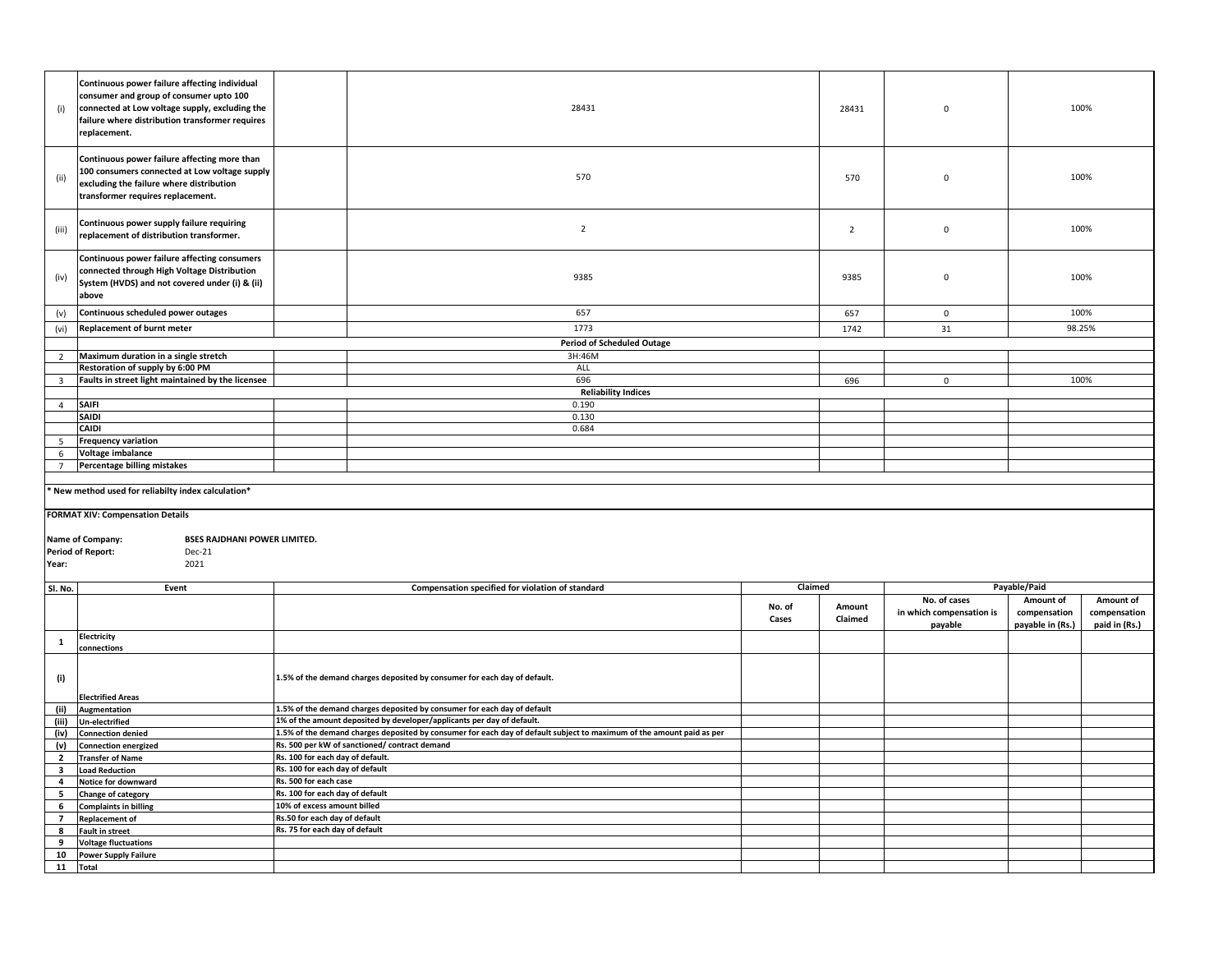| (i)                     | Continuous power failure affecting individual<br>consumer and group of consumer upto 100<br>connected at Low voltage supply, excluding the<br>failure where distribution transformer requires<br>replacement. |                                                                | 28431                                                                                                                 |                 | 28431             | $\mathbf 0$                         |                                  | 100%                          |
|-------------------------|---------------------------------------------------------------------------------------------------------------------------------------------------------------------------------------------------------------|----------------------------------------------------------------|-----------------------------------------------------------------------------------------------------------------------|-----------------|-------------------|-------------------------------------|----------------------------------|-------------------------------|
| (ii)                    | Continuous power failure affecting more than<br>100 consumers connected at Low voltage supply<br>excluding the failure where distribution<br>transformer requires replacement.                                |                                                                | 570                                                                                                                   |                 | 570               | $\mathbf 0$                         |                                  | 100%                          |
| (iii)                   | Continuous power supply failure requiring<br>replacement of distribution transformer.                                                                                                                         |                                                                | $\overline{2}$                                                                                                        |                 | $\overline{2}$    | $\pmb{0}$                           |                                  | 100%                          |
| (iv)                    | Continuous power failure affecting consumers<br>connected through High Voltage Distribution<br>System (HVDS) and not covered under (i) & (ii)<br>above                                                        |                                                                | 9385                                                                                                                  |                 | 9385              | $\mathbf 0$                         |                                  | 100%                          |
| (v)                     | Continuous scheduled power outages                                                                                                                                                                            |                                                                | 657                                                                                                                   |                 | 657               | $\mathbf 0$                         | 100%                             |                               |
| (vi)                    | Replacement of burnt meter                                                                                                                                                                                    |                                                                | 1773                                                                                                                  |                 | 1742              | 31                                  | 98.25%                           |                               |
|                         |                                                                                                                                                                                                               |                                                                | <b>Period of Scheduled Outage</b>                                                                                     |                 |                   |                                     |                                  |                               |
| $\overline{2}$          | Maximum duration in a single stretch                                                                                                                                                                          |                                                                | 3H:46M                                                                                                                |                 |                   |                                     |                                  |                               |
|                         | Restoration of supply by 6:00 PM                                                                                                                                                                              |                                                                | ALL                                                                                                                   |                 |                   |                                     |                                  |                               |
| 3                       | Faults in street light maintained by the licensee                                                                                                                                                             |                                                                | 696<br><b>Reliability Indices</b>                                                                                     |                 | 696               | $\mathbf 0$                         |                                  | 100%                          |
| $\overline{4}$          | <b>SAIFI</b>                                                                                                                                                                                                  |                                                                | 0.190                                                                                                                 |                 |                   |                                     |                                  |                               |
|                         | <b>SAIDI</b>                                                                                                                                                                                                  |                                                                | 0.130                                                                                                                 |                 |                   |                                     |                                  |                               |
|                         | CAIDI                                                                                                                                                                                                         |                                                                | 0.684                                                                                                                 |                 |                   |                                     |                                  |                               |
| 5 <sub>1</sub>          | <b>Frequency variation</b>                                                                                                                                                                                    |                                                                |                                                                                                                       |                 |                   |                                     |                                  |                               |
| 6                       | Voltage imbalance                                                                                                                                                                                             |                                                                |                                                                                                                       |                 |                   |                                     |                                  |                               |
| $7^{\circ}$             | Percentage billing mistakes                                                                                                                                                                                   |                                                                |                                                                                                                       |                 |                   |                                     |                                  |                               |
|                         |                                                                                                                                                                                                               |                                                                |                                                                                                                       |                 |                   |                                     |                                  |                               |
|                         | New method used for reliabilty index calculation*                                                                                                                                                             |                                                                |                                                                                                                       |                 |                   |                                     |                                  |                               |
|                         | <b>FORMAT XIV: Compensation Details</b>                                                                                                                                                                       |                                                                |                                                                                                                       |                 |                   |                                     |                                  |                               |
|                         |                                                                                                                                                                                                               |                                                                |                                                                                                                       |                 |                   |                                     |                                  |                               |
|                         | <b>BSES RAJDHANI POWER LIMITED.</b><br>Name of Company:                                                                                                                                                       |                                                                |                                                                                                                       |                 |                   |                                     |                                  |                               |
|                         | <b>Period of Report:</b><br>Dec-21                                                                                                                                                                            |                                                                |                                                                                                                       |                 |                   |                                     |                                  |                               |
| Year:                   | 2021                                                                                                                                                                                                          |                                                                |                                                                                                                       |                 |                   |                                     |                                  |                               |
| Sl. No.                 | Event                                                                                                                                                                                                         |                                                                | Compensation specified for violation of standard                                                                      | Claimed         |                   |                                     | Payable/Paid                     |                               |
|                         |                                                                                                                                                                                                               |                                                                |                                                                                                                       |                 |                   | No. of cases                        | Amount of                        | Amount of                     |
|                         |                                                                                                                                                                                                               |                                                                |                                                                                                                       | No. of<br>Cases | Amount<br>Claimed | in which compensation is<br>payable | compensation<br>payable in (Rs.) | compensation<br>paid in (Rs.) |
| $\mathbf{1}$            | Electricity                                                                                                                                                                                                   |                                                                |                                                                                                                       |                 |                   |                                     |                                  |                               |
|                         | connections                                                                                                                                                                                                   |                                                                |                                                                                                                       |                 |                   |                                     |                                  |                               |
| (i)                     |                                                                                                                                                                                                               |                                                                | 1.5% of the demand charges deposited by consumer for each day of default.                                             |                 |                   |                                     |                                  |                               |
|                         | <b>Electrified Areas</b>                                                                                                                                                                                      |                                                                |                                                                                                                       |                 |                   |                                     |                                  |                               |
| (ii)                    | Augmentation                                                                                                                                                                                                  |                                                                | 1.5% of the demand charges deposited by consumer for each day of default                                              |                 |                   |                                     |                                  |                               |
| (iii)                   | <b>Un-electrified</b>                                                                                                                                                                                         |                                                                | 1% of the amount deposited by developer/applicants per day of default.                                                |                 |                   |                                     |                                  |                               |
| (iv)                    | <b>Connection denied</b>                                                                                                                                                                                      |                                                                | 1.5% of the demand charges deposited by consumer for each day of default subject to maximum of the amount paid as per |                 |                   |                                     |                                  |                               |
| (v)                     | <b>Connection energized</b>                                                                                                                                                                                   |                                                                | Rs. 500 per kW of sanctioned/ contract demand                                                                         |                 |                   |                                     |                                  |                               |
| $\overline{2}$          | <b>Transfer of Name</b>                                                                                                                                                                                       | Rs. 100 for each day of default.                               |                                                                                                                       |                 |                   |                                     |                                  |                               |
| $\overline{\mathbf{3}}$ | <b>Load Reduction</b>                                                                                                                                                                                         | Rs. 100 for each day of default                                |                                                                                                                       |                 |                   |                                     |                                  |                               |
| $\overline{4}$          | Notice for downward                                                                                                                                                                                           | Rs. 500 for each case                                          |                                                                                                                       |                 |                   |                                     |                                  |                               |
| 5                       | Change of category                                                                                                                                                                                            | Rs. 100 for each day of default<br>10% of excess amount billed |                                                                                                                       |                 |                   |                                     |                                  |                               |
| 6<br>$\overline{7}$     | <b>Complaints in billing</b><br><b>Replacement of</b>                                                                                                                                                         | Rs.50 for each day of default                                  |                                                                                                                       |                 |                   |                                     |                                  |                               |
| 8                       | <b>Fault in street</b>                                                                                                                                                                                        | Rs. 75 for each day of default                                 |                                                                                                                       |                 |                   |                                     |                                  |                               |
| 9                       | <b>Voltage fluctuations</b>                                                                                                                                                                                   |                                                                |                                                                                                                       |                 |                   |                                     |                                  |                               |
| 10                      | <b>Power Supply Failure</b>                                                                                                                                                                                   |                                                                |                                                                                                                       |                 |                   |                                     |                                  |                               |
| 11                      | <b>Total</b>                                                                                                                                                                                                  |                                                                |                                                                                                                       |                 |                   |                                     |                                  |                               |